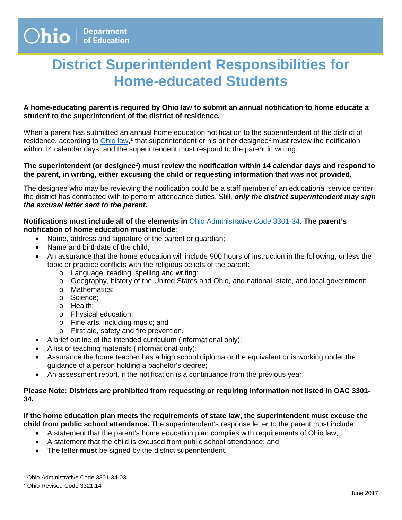# <span id="page-0-0"></span>**District Superintendent Responsibilities for Home-educated Students**

#### **A home-educating parent is required by Ohio law to submit an annual notification to home educate a student to the superintendent of the district of residence.**

When a parent has submitted an annual home education notification to the superintendent of the district of residence, according to *Ohio law*,<sup>1</sup> that superintendent or his or her designee<sup>2</sup> must review the notification within 14 calendar days, and the superintendent must respond to the parent in writing.

### **The superintendent (or designe[e](#page-0-0)**<sup>2</sup> **) must review the notification within 14 calendar days and respond to the parent, in writing, either excusing the child or requesting information that was not provided.**

The designee who may be reviewing the notification could be a staff member of an educational service center the district has contracted with to perform attendance duties. Still, *only the district superintendent may sign the excusal letter sent to the parent.* 

# **Notifications must include all of the elements in** [Ohio Administrative Code 3301-34](http://codes.ohio.gov/oac/3301-34)**. The parent's notification of home education must include**:

- Name, address and signature of the parent or guardian;
- Name and birthdate of the child:
- An assurance that the home education will include 900 hours of instruction in the following, unless the topic or practice conflicts with the religious beliefs of the parent:
	- o Language, reading, spelling and writing;
	- o Geography, history of the United States and Ohio, and national, state, and local government;
	- o Mathematics;
	- o Science;
	- o Health;
	- o Physical education;
	- o Fine arts, including music; and
	- o First aid, safety and fire prevention.
- A brief outline of the intended curriculum (informational only);
- A list of teaching materials (informational only);
- Assurance the home teacher has a high school diploma or the equivalent or is working under the guidance of a person holding a bachelor's degree;
- An assessment report, if the notification is a continuance from the previous year.

### **Please Note: Districts are prohibited from requesting or requiring information not listed in OAC 3301- 34.**

#### **If the home education plan meets the requirements of state law, the superintendent must excuse the child from public school attendance.** The superintendent's response letter to the parent must include:

- A statement that the parent's home education plan complies with requirements of Ohio law;
- A statement that the child is excused from public school attendance; and
- The letter **must** be signed by the district superintendent.

 <sup>1</sup> Ohio Administrative Code 3301-34-03

<sup>2</sup> Ohio Revised Code 3321.14